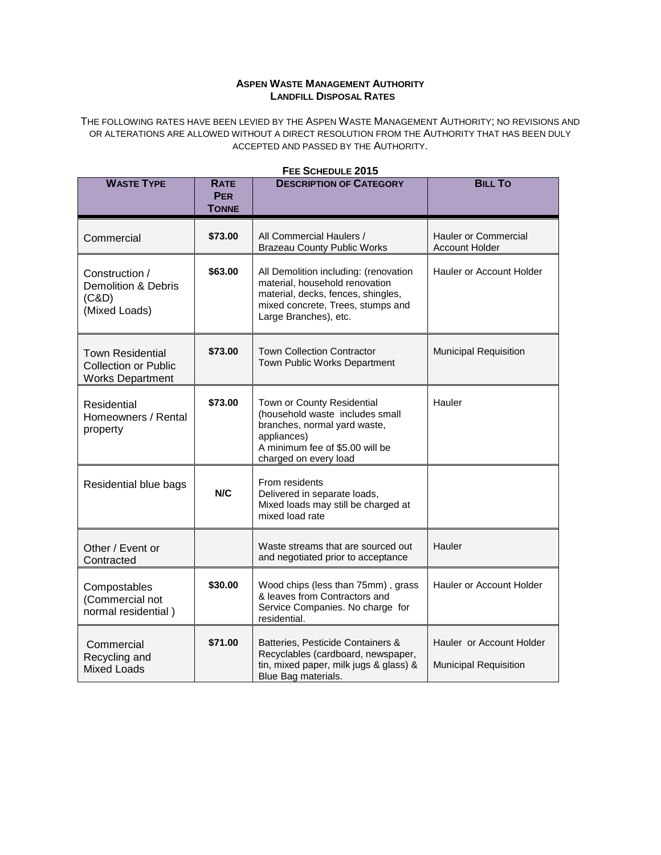## **ASPEN WASTE MANAGEMENT AUTHORITY LANDFILL DISPOSAL RATES**

THE FOLLOWING RATES HAVE BEEN LEVIED BY THE ASPEN WASTE MANAGEMENT AUTHORITY; NO REVISIONS AND OR ALTERATIONS ARE ALLOWED WITHOUT A DIRECT RESOLUTION FROM THE AUTHORITY THAT HAS BEEN DULY ACCEPTED AND PASSED BY THE AUTHORITY.

| <b>WASTE TYPE</b>                                                                 | <b>RATE</b><br><b>PER</b> | <b>DESCRIPTION OF CATEGORY</b>                                                                                                                                              | <b>BILL TO</b>                                           |
|-----------------------------------------------------------------------------------|---------------------------|-----------------------------------------------------------------------------------------------------------------------------------------------------------------------------|----------------------------------------------------------|
|                                                                                   | <b>TONNE</b>              |                                                                                                                                                                             |                                                          |
| Commercial                                                                        | \$73.00                   | All Commercial Haulers /<br><b>Brazeau County Public Works</b>                                                                                                              | <b>Hauler or Commercial</b><br><b>Account Holder</b>     |
| Construction /<br><b>Demolition &amp; Debris</b><br>(C&D)<br>(Mixed Loads)        | \$63.00                   | All Demolition including: (renovation<br>material, household renovation<br>material, decks, fences, shingles,<br>mixed concrete, Trees, stumps and<br>Large Branches), etc. | Hauler or Account Holder                                 |
| <b>Town Residential</b><br><b>Collection or Public</b><br><b>Works Department</b> | \$73.00                   | <b>Town Collection Contractor</b><br>Town Public Works Department                                                                                                           | <b>Municipal Requisition</b>                             |
| Residential<br>Homeowners / Rental<br>property                                    | \$73.00                   | Town or County Residential<br>(household waste includes small<br>branches, normal yard waste,<br>appliances)<br>A minimum fee of \$5.00 will be<br>charged on every load    | Hauler                                                   |
| Residential blue bags                                                             | N/C                       | From residents<br>Delivered in separate loads,<br>Mixed loads may still be charged at<br>mixed load rate                                                                    |                                                          |
| Other / Event or<br>Contracted                                                    |                           | Waste streams that are sourced out<br>and negotiated prior to acceptance                                                                                                    | Hauler                                                   |
| Compostables<br>(Commercial not<br>normal residential)                            | \$30.00                   | Wood chips (less than 75mm), grass<br>& leaves from Contractors and<br>Service Companies. No charge for<br>residential.                                                     | Hauler or Account Holder                                 |
| Commercial<br>Recycling and<br><b>Mixed Loads</b>                                 | \$71.00                   | Batteries, Pesticide Containers &<br>Recyclables (cardboard, newspaper,<br>tin, mixed paper, milk jugs & glass) &<br>Blue Bag materials.                                    | Hauler or Account Holder<br><b>Municipal Requisition</b> |

## **FEE SCHEDULE 2015**